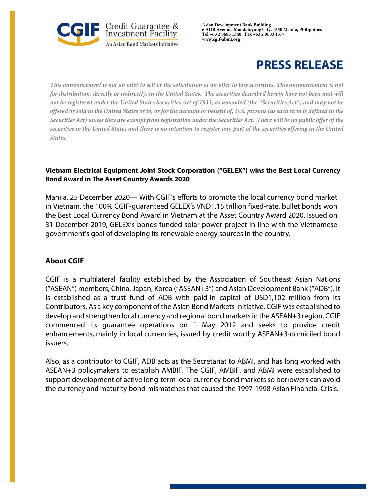

**Asian Development Bank Building 6 ADB Avenue, Mandaluyong City, 1550 Manila, Philippines Tel +63 2 8683 1340 | Fax +63 2 8683 1377 www.cgif-abmi.org**

## **PRESS RELEASE**

*This announcement is not an offer to sell or the solicitation of an offer to buy securities. This announcement is not for distribution, directly or indirectly, in the United States. The securities described herein have not been and will not be registered under the United States Securities Act of 1933, as amended (the "Securities Act") and may not be offered or sold in the United States or to, or for the account or benefit of, U.S. persons (as such term is defined in the Securities Act) unless they are exempt from registration under the Securities Act. There will be no public offer of the securities in the United States and there is no intention to register any part of the securities offering in the United States.*

## **Vietnam Electrical Equipment Joint Stock Corporation ("GELEX") wins the Best Local Currency Bond Award in The Asset Country Awards 2020**

Manila, 25 December 2020— With CGIF's efforts to promote the local currency bond market in Vietnam, the 100% CGIF-guaranteed GELEX's VND1.15 trillion fixed-rate, bullet bonds won the Best Local Currency Bond Award in Vietnam at the Asset Country Award 2020. Issued on 31 December 2019, GELEX's bonds funded solar power project in line with the Vietnamese government's goal of developing its renewable energy sources in the country.

## **About CGIF**

CGIF is a multilateral facility established by the Association of Southeast Asian Nations ("ASEAN") members, China, Japan, Korea ("ASEAN+3") and Asian Development Bank ("ADB"). It is established as a trust fund of ADB with paid-in capital of USD1,102 million from its Contributors. As a key component of the Asian Bond Markets Initiative, CGIF was established to develop and strengthen local currency and regional bond markets in the ASEAN+3 region. CGIF commenced its guarantee operations on 1 May 2012 and seeks to provide credit enhancements, mainly in local currencies, issued by credit worthy ASEAN+3-domiciled bond issuers.

Also, as a contributor to CGIF, ADB acts as the Secretariat to ABMI, and has long worked with ASEAN+3 policymakers to establish AMBIF. The CGIF, AMBIF, and ABMI were established to support development of active long-term local currency bond markets so borrowers can avoid the currency and maturity bond mismatches that caused the 1997-1998 Asian Financial Crisis.